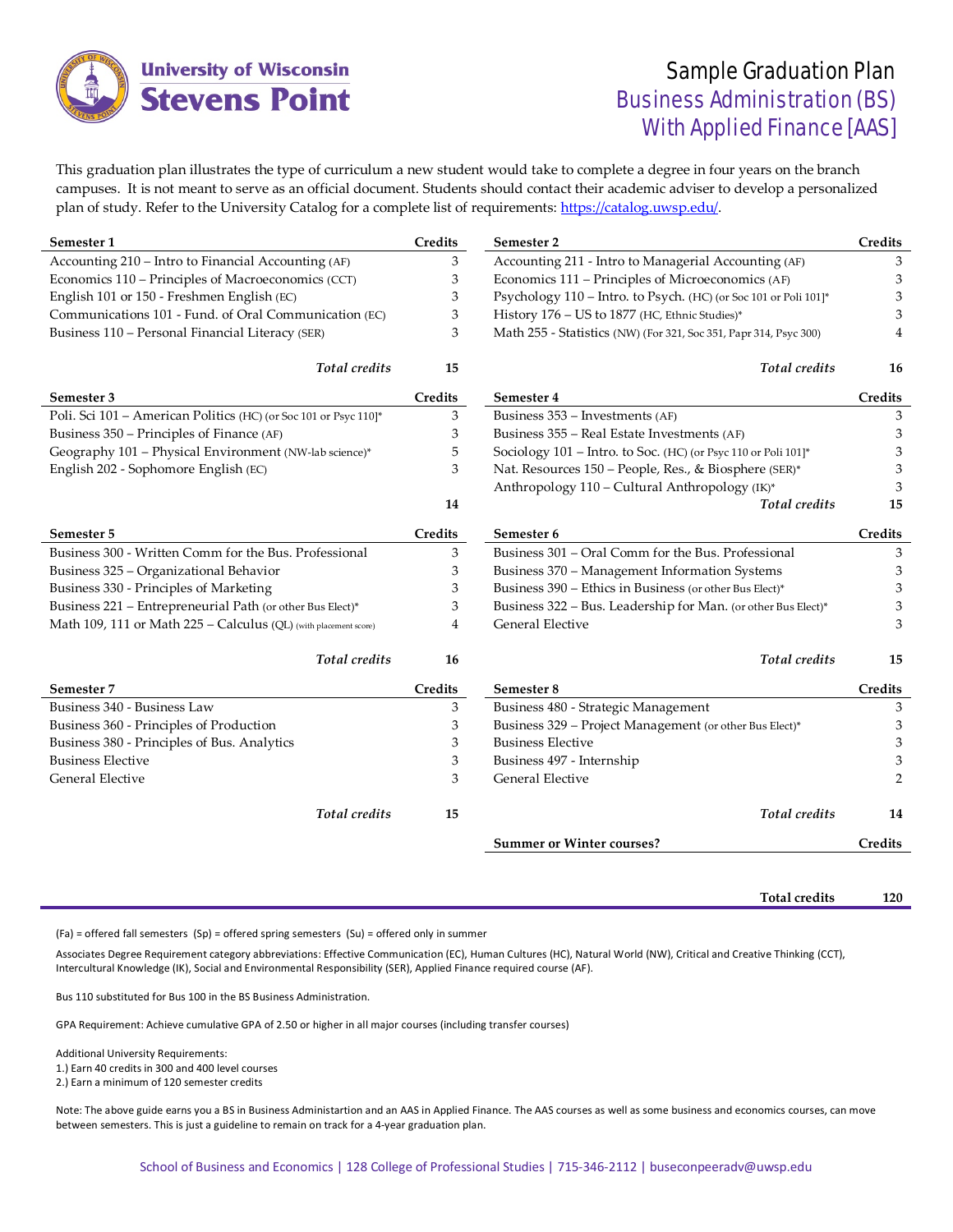

## Sample Graduation Plan Business Administration (BS) With Applied Finance [AAS]

This graduation plan illustrates the type of curriculum a new student would take to complete a degree in four years on the branch campuses. It is not meant to serve as an official document. Students should contact their academic adviser to develop a personalized plan of study. Refer to the University Catalog for a complete list of requirements: [https://catalog.uwsp.edu/.](https://catalog.uwsp.edu/) 

| Semester 1                                                       | Credits | Semester 2                                                        | Credits        |
|------------------------------------------------------------------|---------|-------------------------------------------------------------------|----------------|
| Accounting 210 - Intro to Financial Accounting (AF)              | 3       | Accounting 211 - Intro to Managerial Accounting (AF)              | 3              |
| Economics 110 - Principles of Macroeconomics (CCT)               | 3       | Economics 111 – Principles of Microeconomics (AF)                 | 3              |
| English 101 or 150 - Freshmen English (EC)                       | 3       | Psychology 110 - Intro. to Psych. (HC) (or Soc 101 or Poli 101]*  | 3              |
| Communications 101 - Fund. of Oral Communication (EC)            | 3       | History 176 - US to 1877 (HC, Ethnic Studies)*                    | 3              |
| Business 110 - Personal Financial Literacy (SER)                 | 3       | Math 255 - Statistics (NW) (For 321, Soc 351, Papr 314, Psyc 300) | 4              |
| <b>Total</b> credits                                             | 15      | <b>Total</b> credits                                              | 16             |
| Semester 3                                                       | Credits | Semester 4                                                        | Credits        |
| Poli. Sci 101 - American Politics (HC) (or Soc 101 or Psyc 110]* | 3       | Business 353 - Investments (AF)                                   | 3              |
| Business 350 – Principles of Finance (AF)                        | 3       | Business 355 - Real Estate Investments (AF)                       | 3              |
| Geography 101 - Physical Environment (NW-lab science)*           | 5       | Sociology 101 - Intro. to Soc. (HC) (or Psyc 110 or Poli 101]*    | 3              |
| English 202 - Sophomore English (EC)                             | 3       | Nat. Resources 150 - People, Res., & Biosphere (SER)*             | 3              |
|                                                                  |         | Anthropology 110 - Cultural Anthropology (IK)*                    | 3              |
|                                                                  | 14      | <b>Total</b> credits                                              | 15             |
| Semester 5                                                       | Credits | Semester 6                                                        | Credits        |
| Business 300 - Written Comm for the Bus. Professional            | 3       | Business 301 - Oral Comm for the Bus. Professional                | 3              |
| Business 325 - Organizational Behavior                           | 3       | Business 370 - Management Information Systems                     | 3              |
| Business 330 - Principles of Marketing                           | 3       | Business 390 - Ethics in Business (or other Bus Elect)*           | 3              |
| Business 221 - Entrepreneurial Path (or other Bus Elect)*        | 3       | Business 322 - Bus. Leadership for Man. (or other Bus Elect)*     | 3              |
| Math 109, 111 or Math 225 - Calculus (QL) (with placement score) | 4       | General Elective                                                  | 3              |
| <b>Total</b> credits                                             | 16      | <b>Total</b> credits                                              | 15             |
| Semester 7                                                       | Credits | Semester 8                                                        | Credits        |
| Business 340 - Business Law                                      | 3       | Business 480 - Strategic Management                               | 3              |
| Business 360 - Principles of Production                          | 3       | Business 329 - Project Management (or other Bus Elect)*           | 3              |
| Business 380 - Principles of Bus. Analytics                      | 3       | <b>Business Elective</b>                                          | 3              |
| <b>Business Elective</b>                                         | 3       | Business 497 - Internship                                         | 3              |
| General Elective                                                 | 3       | General Elective                                                  | $\overline{2}$ |
| <b>Total</b> credits                                             | 15      | <b>Total</b> credits                                              | 14             |
|                                                                  |         | <b>Summer or Winter courses?</b>                                  | Credits        |
|                                                                  |         |                                                                   |                |

**Total credits 120**

(Fa) = offered fall semesters (Sp) = offered spring semesters (Su) = offered only in summer

Associates Degree Requirement category abbreviations: Effective Communication (EC), Human Cultures (HC), Natural World (NW), Critical and Creative Thinking (CCT), Intercultural Knowledge (IK), Social and Environmental Responsibility (SER), Applied Finance required course (AF).

Bus 110 substituted for Bus 100 in the BS Business Administration.

GPA Requirement: Achieve cumulative GPA of 2.50 or higher in all major courses (including transfer courses)

Additional University Requirements:

1.) Earn 40 credits in 300 and 400 level courses

2.) Earn a minimum of 120 semester credits

Note: The above guide earns you a BS in Business Administartion and an AAS in Applied Finance. The AAS courses as well as some business and economics courses, can move between semesters. This is just a guideline to remain on track for a 4-year graduation plan.